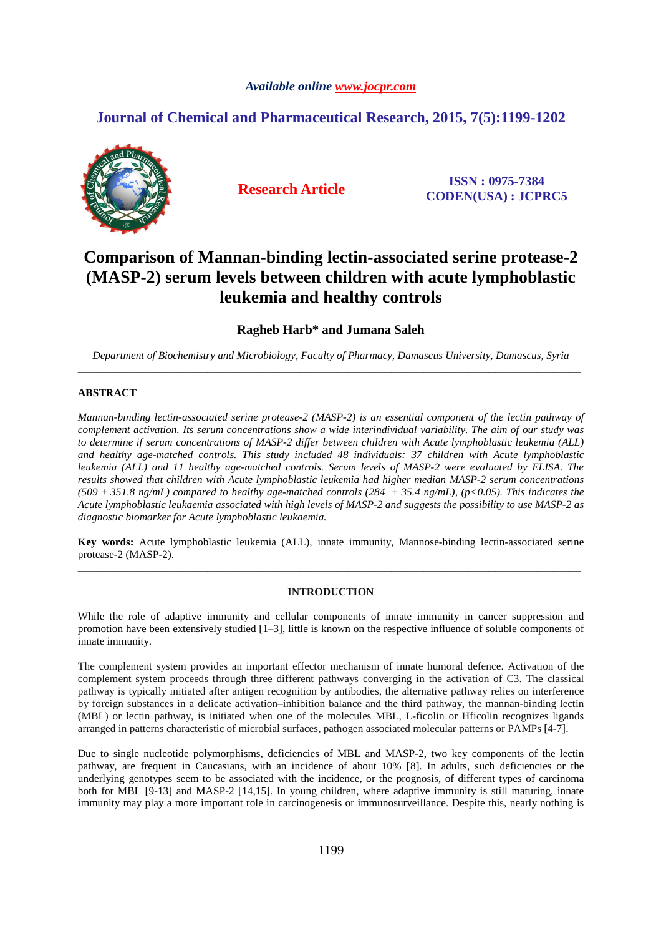# *Available online www.jocpr.com*

# **Journal of Chemical and Pharmaceutical Research, 2015, 7(5):1199-1202**



**Research Article ISSN : 0975-7384 CODEN(USA) : JCPRC5**

# **Comparison of Mannan-binding lectin-associated serine protease-2 (MASP-2) serum levels between children with acute lymphoblastic leukemia and healthy controls**

**Ragheb Harb\* and Jumana Saleh** 

*Department of Biochemistry and Microbiology, Faculty of Pharmacy, Damascus University, Damascus, Syria* \_\_\_\_\_\_\_\_\_\_\_\_\_\_\_\_\_\_\_\_\_\_\_\_\_\_\_\_\_\_\_\_\_\_\_\_\_\_\_\_\_\_\_\_\_\_\_\_\_\_\_\_\_\_\_\_\_\_\_\_\_\_\_\_\_\_\_\_\_\_\_\_\_\_\_\_\_\_\_\_\_\_\_\_\_\_\_\_\_\_\_\_\_

# **ABSTRACT**

*Mannan-binding lectin-associated serine protease-2 (MASP-2) is an essential component of the lectin pathway of complement activation. Its serum concentrations show a wide interindividual variability. The aim of our study was to determine if serum concentrations of MASP-2 differ between children with Acute lymphoblastic leukemia (ALL) and healthy age-matched controls. This study included 48 individuals: 37 children with Acute lymphoblastic leukemia (ALL) and 11 healthy age-matched controls. Serum levels of MASP-2 were evaluated by ELISA. The results showed that children with Acute lymphoblastic leukemia had higher median MASP-2 serum concentrations*  (509  $\pm$  351.8 ng/mL) compared to healthy age-matched controls (284  $\pm$  35.4 ng/mL), (p<0.05). This indicates the *Acute lymphoblastic leukaemia associated with high levels of MASP-2 and suggests the possibility to use MASP-2 as diagnostic biomarker for Acute lymphoblastic leukaemia.* 

**Key words:** Acute lymphoblastic leukemia (ALL), innate immunity, Mannose-binding lectin-associated serine protease-2 (MASP-2). \_\_\_\_\_\_\_\_\_\_\_\_\_\_\_\_\_\_\_\_\_\_\_\_\_\_\_\_\_\_\_\_\_\_\_\_\_\_\_\_\_\_\_\_\_\_\_\_\_\_\_\_\_\_\_\_\_\_\_\_\_\_\_\_\_\_\_\_\_\_\_\_\_\_\_\_\_\_\_\_\_\_\_\_\_\_\_\_\_\_\_\_\_

#### **INTRODUCTION**

While the role of adaptive immunity and cellular components of innate immunity in cancer suppression and promotion have been extensively studied [1–3], little is known on the respective influence of soluble components of innate immunity.

The complement system provides an important effector mechanism of innate humoral defence. Activation of the complement system proceeds through three different pathways converging in the activation of C3. The classical pathway is typically initiated after antigen recognition by antibodies, the alternative pathway relies on interference by foreign substances in a delicate activation–inhibition balance and the third pathway, the mannan-binding lectin (MBL) or lectin pathway, is initiated when one of the molecules MBL, L-ficolin or Hficolin recognizes ligands arranged in patterns characteristic of microbial surfaces, pathogen associated molecular patterns or PAMPs [4-7].

Due to single nucleotide polymorphisms, deficiencies of MBL and MASP-2, two key components of the lectin pathway, are frequent in Caucasians, with an incidence of about 10% [8]. In adults, such deficiencies or the underlying genotypes seem to be associated with the incidence, or the prognosis, of different types of carcinoma both for MBL [9-13] and MASP-2 [14,15]. In young children, where adaptive immunity is still maturing, innate immunity may play a more important role in carcinogenesis or immunosurveillance. Despite this, nearly nothing is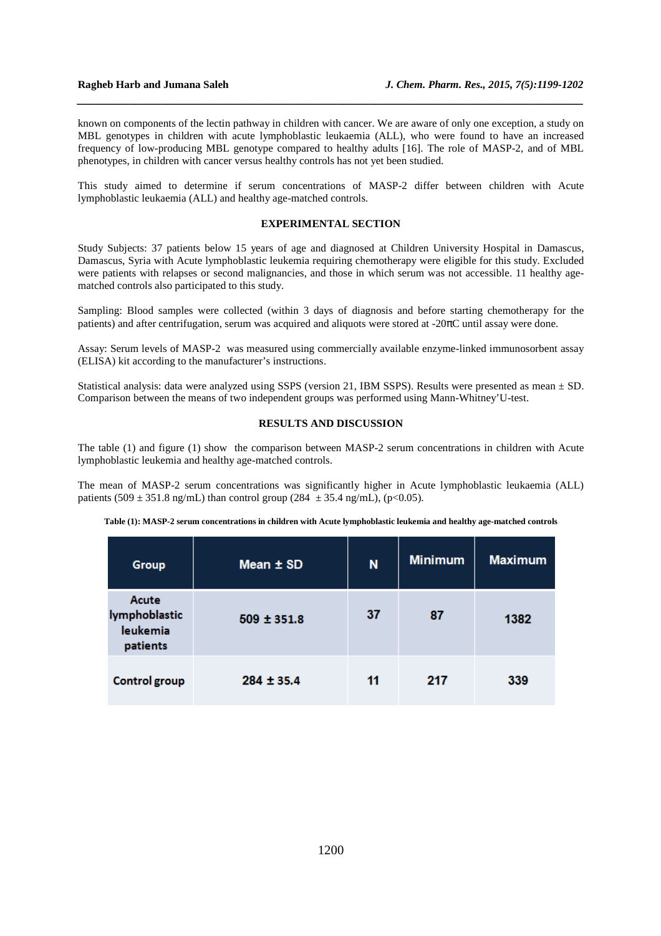known on components of the lectin pathway in children with cancer. We are aware of only one exception, a study on MBL genotypes in children with acute lymphoblastic leukaemia (ALL), who were found to have an increased frequency of low-producing MBL genotype compared to healthy adults [16]. The role of MASP-2, and of MBL phenotypes, in children with cancer versus healthy controls has not yet been studied.

*\_\_\_\_\_\_\_\_\_\_\_\_\_\_\_\_\_\_\_\_\_\_\_\_\_\_\_\_\_\_\_\_\_\_\_\_\_\_\_\_\_\_\_\_\_\_\_\_\_\_\_\_\_\_\_\_\_\_\_\_\_\_\_\_\_\_\_\_\_\_\_\_\_\_\_\_\_\_*

This study aimed to determine if serum concentrations of MASP-2 differ between children with Acute lymphoblastic leukaemia (ALL) and healthy age-matched controls.

## **EXPERIMENTAL SECTION**

Study Subjects: 37 patients below 15 years of age and diagnosed at Children University Hospital in Damascus, Damascus, Syria with Acute lymphoblastic leukemia requiring chemotherapy were eligible for this study. Excluded were patients with relapses or second malignancies, and those in which serum was not accessible. 11 healthy agematched controls also participated to this study.

Sampling: Blood samples were collected (within 3 days of diagnosis and before starting chemotherapy for the patients) and after centrifugation, serum was acquired and aliquots were stored at  $-20\pi$ C until assay were done.

Assay: Serum levels of MASP-2 was measured using commercially available enzyme-linked immunosorbent assay (ELISA) kit according to the manufacturer's instructions.

Statistical analysis: data were analyzed using SSPS (version 21, IBM SSPS). Results were presented as mean ± SD. Comparison between the means of two independent groups was performed using Mann-Whitney'U-test.

### **RESULTS AND DISCUSSION**

The table (1) and figure (1) show the comparison between MASP-2 serum concentrations in children with Acute lymphoblastic leukemia and healthy age-matched controls.

The mean of MASP-2 serum concentrations was significantly higher in Acute lymphoblastic leukaemia (ALL) patients (509  $\pm$  351.8 ng/mL) than control group (284  $\pm$  35.4 ng/mL), (p<0.05).

|  |  | Table (1): MASP-2 serum concentrations in children with Acute lymphoblastic leukemia and healthy age-matched controls |  |  |  |  |
|--|--|-----------------------------------------------------------------------------------------------------------------------|--|--|--|--|
|  |  |                                                                                                                       |  |  |  |  |
|  |  |                                                                                                                       |  |  |  |  |
|  |  |                                                                                                                       |  |  |  |  |

| <b>Group</b>                                          | Mean ± SD       | N  | <b>Minimum</b> | <b>Maximum</b> |
|-------------------------------------------------------|-----------------|----|----------------|----------------|
| Acute<br>lymphoblastic<br><b>leukemia</b><br>patients | $509 \pm 351.8$ | 37 | 87             | 1382           |
| Control group                                         | $284 \pm 35.4$  | 11 | 217            | 339            |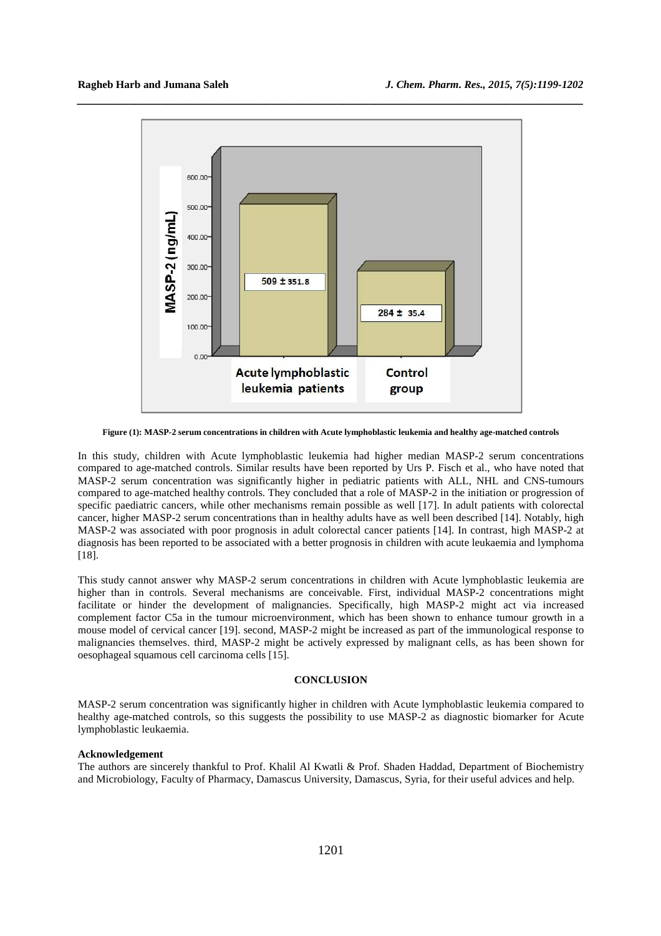

**Figure (1): MASP-2 serum concentrations in children with Acute lymphoblastic leukemia and healthy age-matched controls** 

In this study, children with Acute lymphoblastic leukemia had higher median MASP-2 serum concentrations compared to age-matched controls. Similar results have been reported by Urs P. Fisch et al., who have noted that MASP-2 serum concentration was significantly higher in pediatric patients with ALL, NHL and CNS-tumours compared to age-matched healthy controls. They concluded that a role of MASP-2 in the initiation or progression of specific paediatric cancers, while other mechanisms remain possible as well [17]. In adult patients with colorectal cancer, higher MASP-2 serum concentrations than in healthy adults have as well been described [14]. Notably, high MASP-2 was associated with poor prognosis in adult colorectal cancer patients [14]. In contrast, high MASP-2 at diagnosis has been reported to be associated with a better prognosis in children with acute leukaemia and lymphoma [18].

This study cannot answer why MASP-2 serum concentrations in children with Acute lymphoblastic leukemia are higher than in controls. Several mechanisms are conceivable. First, individual MASP-2 concentrations might facilitate or hinder the development of malignancies. Specifically, high MASP-2 might act via increased complement factor C5a in the tumour microenvironment, which has been shown to enhance tumour growth in a mouse model of cervical cancer [19]. second, MASP-2 might be increased as part of the immunological response to malignancies themselves. third, MASP-2 might be actively expressed by malignant cells, as has been shown for oesophageal squamous cell carcinoma cells [15].

#### **CONCLUSION**

MASP-2 serum concentration was significantly higher in children with Acute lymphoblastic leukemia compared to healthy age-matched controls, so this suggests the possibility to use MASP-2 as diagnostic biomarker for Acute lymphoblastic leukaemia.

#### **Acknowledgement**

The authors are sincerely thankful to Prof. Khalil Al Kwatli & Prof. Shaden Haddad, Department of Biochemistry and Microbiology, Faculty of Pharmacy, Damascus University, Damascus, Syria, for their useful advices and help.